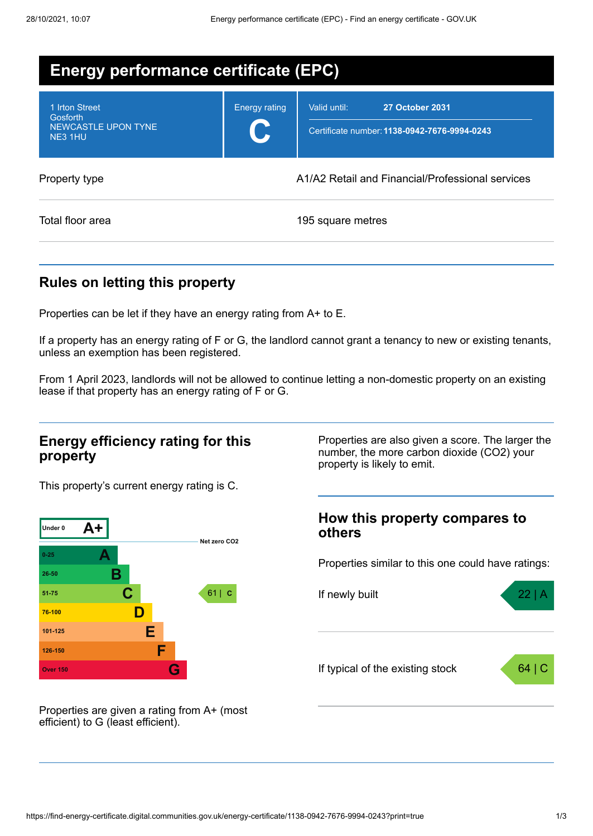| Energy performance certificate (EPC)                                       |                      |                                                                                        |  |  |
|----------------------------------------------------------------------------|----------------------|----------------------------------------------------------------------------------------|--|--|
| 1 Irton Street<br><b>Gosforth</b><br><b>NEWCASTLE UPON TYNE</b><br>NE3 1HU | <b>Energy rating</b> | Valid until:<br><b>27 October 2031</b><br>Certificate number: 1138-0942-7676-9994-0243 |  |  |
| Property type                                                              |                      | A1/A2 Retail and Financial/Professional services                                       |  |  |
| Total floor area                                                           |                      | 195 square metres                                                                      |  |  |

# **Rules on letting this property**

Properties can be let if they have an energy rating from A+ to E.

If a property has an energy rating of F or G, the landlord cannot grant a tenancy to new or existing tenants, unless an exemption has been registered.

From 1 April 2023, landlords will not be allowed to continue letting a non-domestic property on an existing lease if that property has an energy rating of F or G.

### **Energy efficiency rating for this property**

This property's current energy rating is C.



number, the more carbon dioxide (CO2) your property is likely to emit.

Properties are also given a score. The larger the

### **How this property compares to others**

Properties similar to this one could have ratings:



Properties are given a rating from A+ (most efficient) to G (least efficient).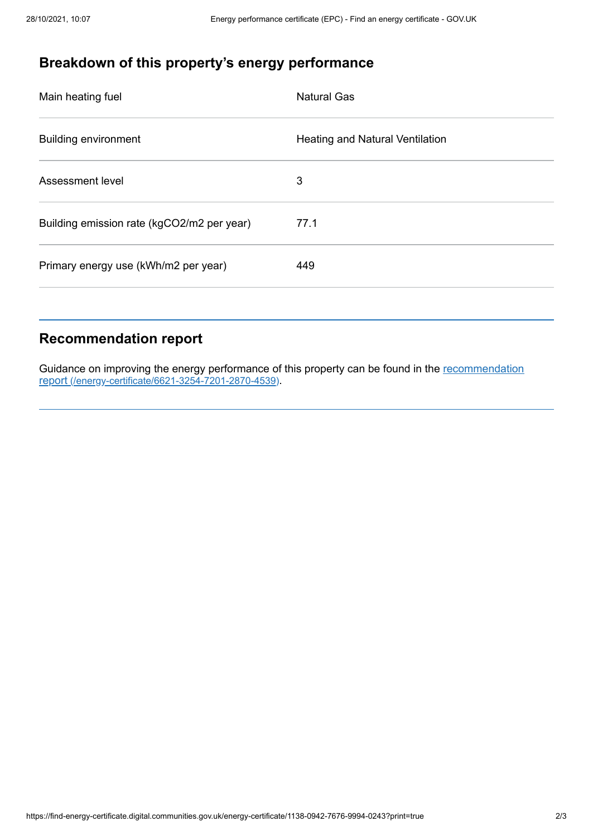# **Breakdown of this property's energy performance**

| Main heating fuel                          | <b>Natural Gas</b>                     |
|--------------------------------------------|----------------------------------------|
| <b>Building environment</b>                | <b>Heating and Natural Ventilation</b> |
| Assessment level                           | 3                                      |
| Building emission rate (kgCO2/m2 per year) | 77.1                                   |
| Primary energy use (kWh/m2 per year)       | 449                                    |
|                                            |                                        |

### **Recommendation report**

Guidance on improving the energy performance of this property can be found in the recommendation report [\(/energy-certificate/6621-3254-7201-2870-4539\)](https://find-energy-certificate.digital.communities.gov.uk/energy-certificate/6621-3254-7201-2870-4539).